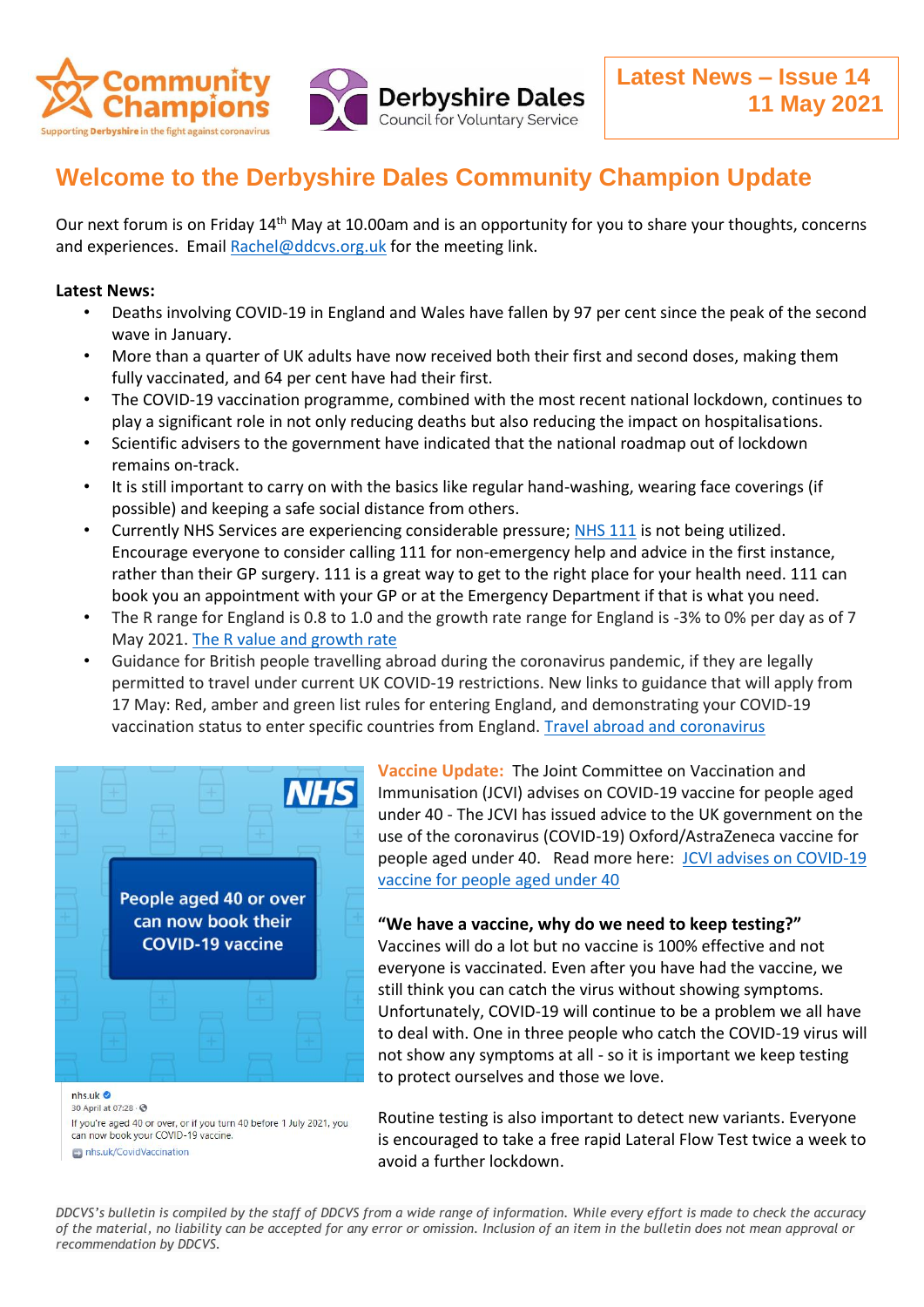

# **Welcome to the Derbyshire Dales Community Champion Update**

Our next forum is on Friday 14<sup>th</sup> May at 10.00am and is an opportunity for you to share your thoughts, concerns and experiences. Email [Rachel@ddcvs.org.uk](mailto:Rachel@ddcvs.org.uk) for the meeting link.

## **Latest News:**

- Deaths involving COVID-19 in England and Wales have fallen by 97 per cent since the peak of the second wave in January.
- More than a quarter of UK adults have now received both their first and second doses, making them fully vaccinated, and 64 per cent have had their first.
- The COVID-19 vaccination programme, combined with the most recent national lockdown, continues to play a significant role in not only reducing deaths but also reducing the impact on hospitalisations.
- Scientific advisers to the government have indicated that the national roadmap out of lockdown remains on-track.
- It is still important to carry on with the basics like regular hand-washing, wearing face coverings (if possible) and keeping a safe social distance from others.
- Currently NHS Services are experiencing considerable pressure; [NHS 111](https://111.nhs.uk/) is not being utilized. Encourage everyone to consider calling 111 for non-emergency help and advice in the first instance, rather than their GP surgery. 111 is a great way to get to the right place for your health need. 111 can book you an appointment with your GP or at the Emergency Department if that is what you need.
- The R range for England is 0.8 to 1.0 and the growth rate range for England is -3% to 0% per day as of 7 May 2021. [The R value and growth rate](https://www.gov.uk/guidance/the-r-value-and-growth-rate?utm_medium=email&utm_campaign=govuk-notifications&utm_source=278073c8-dd21-44af-b390-6a33ecbc3bd3&utm_content=daily)
- Guidance for British people travelling abroad during the coronavirus pandemic, if they are legally permitted to travel under current UK COVID-19 restrictions. New links to guidance that will apply from 17 May: Red, amber and green list rules for entering England, and demonstrating your COVID-19 vaccination status to enter specific countries from England. [Travel abroad and coronavirus](https://www.gov.uk/guidance/travel-advice-novel-coronavirus?utm_medium=email&utm_campaign=govuk-notifications&utm_source=dd689856-74b5-41cf-a8eb-80f9f3b19a82&utm_content=daily)



**Vaccine Update:** The Joint Committee on Vaccination and Immunisation (JCVI) advises on COVID-19 vaccine for people aged under 40 - The JCVI has issued advice to the UK government on the use of the coronavirus (COVID-19) Oxford/AstraZeneca vaccine for people aged under 40. Read more here: [JCVI advises on COVID-19](https://www.gov.uk/government/news/jcvi-advises-on-covid-19-vaccine-for-people-aged-under-40)  [vaccine for people aged under 40](https://www.gov.uk/government/news/jcvi-advises-on-covid-19-vaccine-for-people-aged-under-40)

#### **"We have a vaccine, why do we need to keep testing?"**

Vaccines will do a lot but no vaccine is 100% effective and not everyone is vaccinated. Even after you have had the vaccine, we still think you can catch the virus without showing symptoms. Unfortunately, COVID-19 will continue to be a problem we all have to deal with. One in three people who catch the COVID-19 virus will not show any symptoms at all - so it is important we keep testing to protect ourselves and those we love.

30 April at 07:28 - 0 If you're aged 40 or over, or if you turn 40 before 1 July 2021, you can now book your COVID-19 vaccine. nhs.uk/CovidVaccination

Routine testing is also important to detect new variants. Everyone is encouraged to take a free rapid Lateral Flow Test twice a week to avoid a further lockdown.

*DDCVS's bulletin is compiled by the staff of DDCVS from a wide range of information. While every effort is made to check the accuracy of the material, no liability can be accepted for any error or omission. Inclusion of an item in the bulletin does not mean approval or recommendation by DDCVS.*